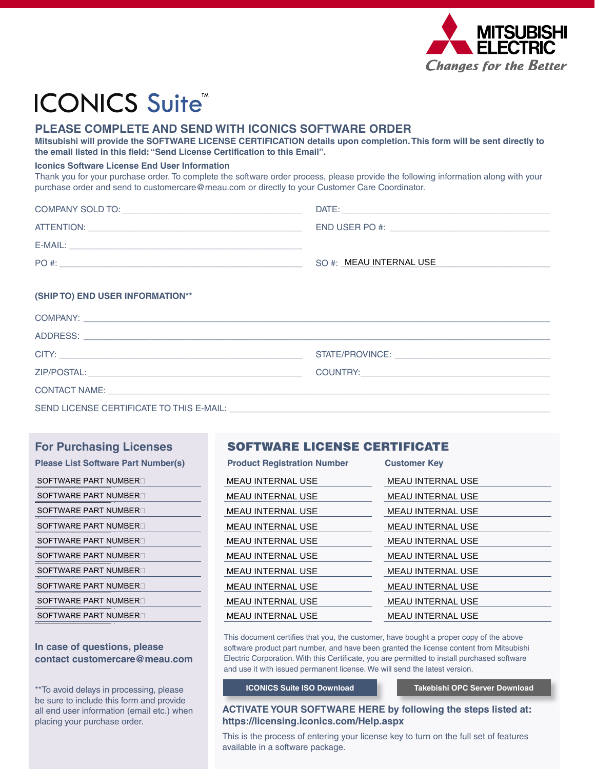

# **ICONICS Suite®**

# PLEASE COMPLETE AND SEND WITH ICONICS SOFTWARE ORDER

Mitsubishi will provide the SOFTWARE LICENSE CERTIFICATION details upon completion. This form will be sent directly to the email listed in this field: "Send License Certification to this Email".

#### **Iconics Software License End User Information**

Thank you for your purchase order. To complete the software order process, please provide the following information along with your purchase order and send to customercare@meau.com or directly to your Customer Care Coordinator.

| COMPANY SOLD TO: | DATE:                     |
|------------------|---------------------------|
| ATTENTION:       | END USER PO #:            |
| E-MAIL:          |                           |
| PO #:            | $SO#$ : MEAU INTERNAL USE |

#### (SHIP TO) END USER INFORMATION\*\*

| COMPANY: Lease and the contract of the contract of the contract of the contract of the contract of the contract of the contract of the contract of the contract of the contract of the contract of the contract of the contrac |  |
|--------------------------------------------------------------------------------------------------------------------------------------------------------------------------------------------------------------------------------|--|
|                                                                                                                                                                                                                                |  |
|                                                                                                                                                                                                                                |  |
|                                                                                                                                                                                                                                |  |
|                                                                                                                                                                                                                                |  |
|                                                                                                                                                                                                                                |  |

### **For Purchasing Licenses**

| <b>Please List Software Part Number(s)</b> |
|--------------------------------------------|
| SOFTWARE PART NUMBER                       |
| SOFTWARE PART NUMBER                       |
| SOFTWARE PART NUMBER ⊟                     |
| SOFTWARE PART NUMBER                       |
| SOFTWARE PART NUMBER□                      |
| SOFTWARE PART NUMBER□                      |
| SOFTWARE PART NUMBER□                      |
| SOFTWARE PART NUMBER                       |
| SOFTWARE PART NUMBER                       |
| SOFTWARE PART NUMBER                       |
|                                            |

#### In case of questions, please contact customercare@meau.com

\*\* To avoid delays in processing, please be sure to include this form and provide all end user information (email etc.) when placing your purchase order.

## **SOFTWARE LICENSE CERTIFICATE**

| <b>Product Registration Number</b> | <b>Customer Key</b>      |
|------------------------------------|--------------------------|
| <b>MEAU INTERNAL USE</b>           | <b>MEAU INTERNAL USE</b> |
| <b>MEAU INTERNAL USE</b>           | <b>MEAU INTERNAL USE</b> |
| <b>MEAU INTERNAL USE</b>           | <b>MEAU INTERNAL USE</b> |
| <b>MEAU INTERNAL USE</b>           | <b>MEAU INTERNAL USE</b> |
| <b>MEAU INTERNAL USE</b>           | <b>MEAU INTERNAL USE</b> |
| <b>MEAU INTERNAL USE</b>           | MEAU INTERNAL USE        |
| <b>MEAU INTERNAL USE</b>           | <b>MEAU INTERNAL USE</b> |
| MEAU INTERNAL USE                  | MEAU INTERNAL USE        |
| <b>MEAU INTERNAL USE</b>           | <b>MEAU INTERNAL USE</b> |
| <b>MEAU INTERNAL USE</b>           | <b>MEAU INTERNAL USE</b> |

This document certifies that you, the customer, have bought a proper copy of the above software product part number, and have been granted the license content from Mitsubishi Electric Corporation. With this Certificate, you are permitted to install purchased software and use it with issued permanent license. We will send the latest version.

#### **ICONICS Suite ISO Download**

Takebishi OPC Server Download

#### **ACTIVATE YOUR SOFTWARE HERE by following the steps listed at:** https://licensing.iconics.com/Help.aspx

This is the process of entering your license key to turn on the full set of features available in a software package.